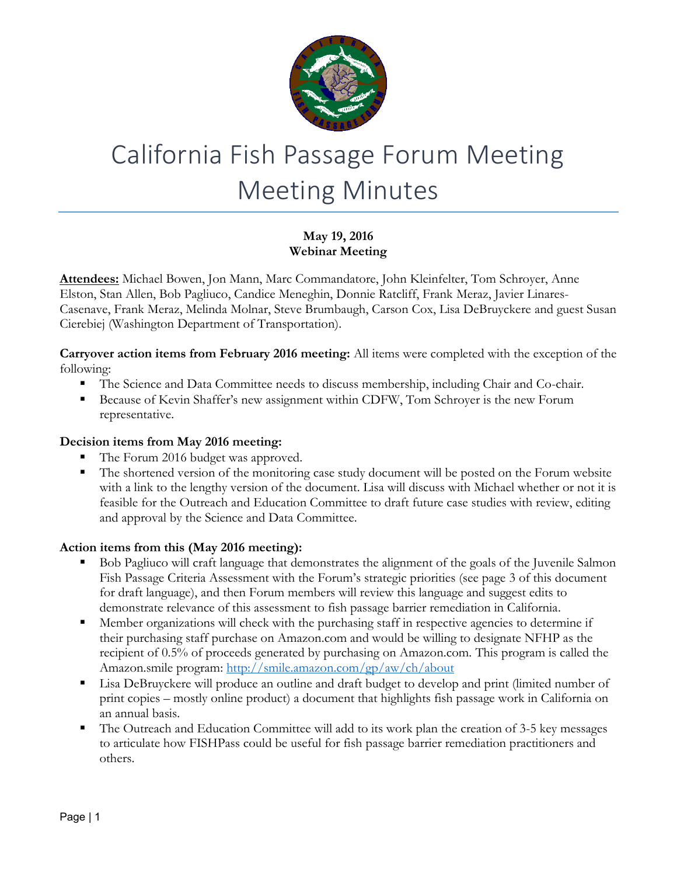

# California Fish Passage Forum Meeting Meeting Minutes

# **May 19, 2016 Webinar Meeting**

**Attendees:** Michael Bowen, Jon Mann, Marc Commandatore, John Kleinfelter, Tom Schroyer, Anne Elston, Stan Allen, Bob Pagliuco, Candice Meneghin, Donnie Ratcliff, Frank Meraz, Javier Linares-Casenave, Frank Meraz, Melinda Molnar, Steve Brumbaugh, Carson Cox, Lisa DeBruyckere and guest Susan Cierebiej (Washington Department of Transportation).

**Carryover action items from February 2016 meeting:** All items were completed with the exception of the following:

- The Science and Data Committee needs to discuss membership, including Chair and Co-chair.
- **Because of Kevin Shaffer's new assignment within CDFW, Tom Schroyer is the new Forum** representative.

## **Decision items from May 2016 meeting:**

- The Forum 2016 budget was approved.
- The shortened version of the monitoring case study document will be posted on the Forum website with a link to the lengthy version of the document. Lisa will discuss with Michael whether or not it is feasible for the Outreach and Education Committee to draft future case studies with review, editing and approval by the Science and Data Committee.

# **Action items from this (May 2016 meeting):**

- Bob Pagliuco will craft language that demonstrates the alignment of the goals of the Juvenile Salmon Fish Passage Criteria Assessment with the Forum's strategic priorities (see page 3 of this document for draft language), and then Forum members will review this language and suggest edits to demonstrate relevance of this assessment to fish passage barrier remediation in California.
- Member organizations will check with the purchasing staff in respective agencies to determine if their purchasing staff purchase on Amazon.com and would be willing to designate NFHP as the recipient of 0.5% of proceeds generated by purchasing on Amazon.com. This program is called the Amazon.smile program:<http://smile.amazon.com/gp/aw/ch/about>
- Lisa DeBruyckere will produce an outline and draft budget to develop and print (limited number of print copies – mostly online product) a document that highlights fish passage work in California on an annual basis.
- The Outreach and Education Committee will add to its work plan the creation of 3-5 key messages to articulate how FISHPass could be useful for fish passage barrier remediation practitioners and others.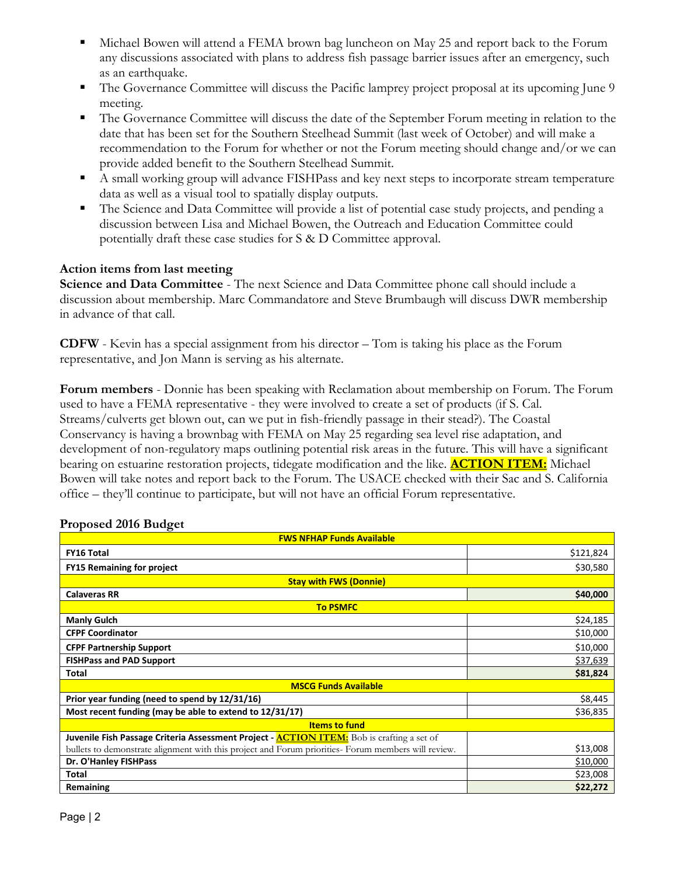- Michael Bowen will attend a FEMA brown bag luncheon on May 25 and report back to the Forum any discussions associated with plans to address fish passage barrier issues after an emergency, such as an earthquake.
- The Governance Committee will discuss the Pacific lamprey project proposal at its upcoming June 9 meeting.
- The Governance Committee will discuss the date of the September Forum meeting in relation to the date that has been set for the Southern Steelhead Summit (last week of October) and will make a recommendation to the Forum for whether or not the Forum meeting should change and/or we can provide added benefit to the Southern Steelhead Summit.
- A small working group will advance FISHPass and key next steps to incorporate stream temperature data as well as a visual tool to spatially display outputs.
- The Science and Data Committee will provide a list of potential case study projects, and pending a discussion between Lisa and Michael Bowen, the Outreach and Education Committee could potentially draft these case studies for S & D Committee approval.

#### **Action items from last meeting**

**Science and Data Committee** - The next Science and Data Committee phone call should include a discussion about membership. Marc Commandatore and Steve Brumbaugh will discuss DWR membership in advance of that call.

**CDFW** - Kevin has a special assignment from his director – Tom is taking his place as the Forum representative, and Jon Mann is serving as his alternate.

**Forum members** - Donnie has been speaking with Reclamation about membership on Forum. The Forum used to have a FEMA representative - they were involved to create a set of products (if S. Cal. Streams/culverts get blown out, can we put in fish-friendly passage in their stead?). The Coastal Conservancy is having a brownbag with FEMA on May 25 regarding sea level rise adaptation, and development of non-regulatory maps outlining potential risk areas in the future. This will have a significant bearing on estuarine restoration projects, tidegate modification and the like. **ACTION ITEM:** Michael Bowen will take notes and report back to the Forum. The USACE checked with their Sac and S. California office – they'll continue to participate, but will not have an official Forum representative.

| <b>FWS NFHAP Funds Available</b>                                                                    |           |
|-----------------------------------------------------------------------------------------------------|-----------|
| <b>FY16 Total</b>                                                                                   | \$121,824 |
| <b>FY15 Remaining for project</b>                                                                   | \$30,580  |
| <b>Stay with FWS (Donnie)</b>                                                                       |           |
| <b>Calaveras RR</b>                                                                                 | \$40,000  |
| <b>To PSMFC</b>                                                                                     |           |
| <b>Manly Gulch</b>                                                                                  | \$24,185  |
| <b>CFPF Coordinator</b>                                                                             | \$10,000  |
| <b>CFPF Partnership Support</b>                                                                     | \$10,000  |
| <b>FISHPass and PAD Support</b>                                                                     | \$37,639  |
| Total                                                                                               | \$81,824  |
| <b>MSCG Funds Available</b>                                                                         |           |
| Prior year funding (need to spend by 12/31/16)                                                      | \$8,445   |
| Most recent funding (may be able to extend to 12/31/17)                                             | \$36,835  |
| <b>Items to fund</b>                                                                                |           |
| Juvenile Fish Passage Criteria Assessment Project - <b>ACTION ITEM:</b> Bob is crafting a set of    |           |
| bullets to demonstrate alignment with this project and Forum priorities- Forum members will review. | \$13,008  |
| Dr. O'Hanley FISHPass                                                                               | \$10,000  |
| <b>Total</b>                                                                                        | \$23,008  |
| Remaining                                                                                           | \$22,272  |

#### **Proposed 2016 Budget**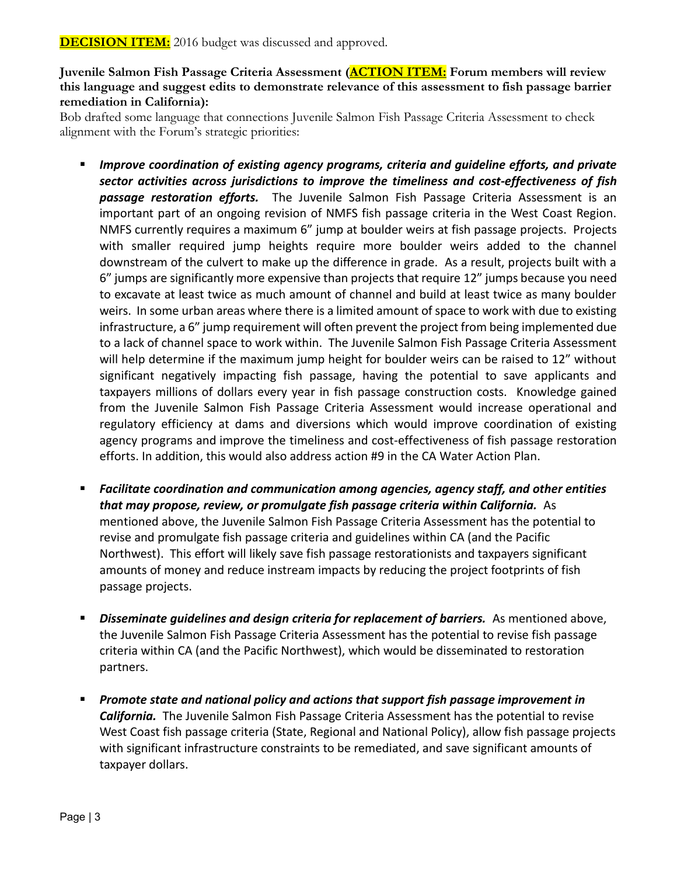**Juvenile Salmon Fish Passage Criteria Assessment (ACTION ITEM: Forum members will review this language and suggest edits to demonstrate relevance of this assessment to fish passage barrier remediation in California):**

Bob drafted some language that connections Juvenile Salmon Fish Passage Criteria Assessment to check alignment with the Forum's strategic priorities:

- *Improve coordination of existing agency programs, criteria and guideline efforts, and private sector activities across jurisdictions to improve the timeliness and cost-effectiveness of fish passage restoration efforts.* The Juvenile Salmon Fish Passage Criteria Assessment is an important part of an ongoing revision of NMFS fish passage criteria in the West Coast Region. NMFS currently requires a maximum 6" jump at boulder weirs at fish passage projects. Projects with smaller required jump heights require more boulder weirs added to the channel downstream of the culvert to make up the difference in grade. As a result, projects built with a 6" jumps are significantly more expensive than projects that require 12" jumps because you need to excavate at least twice as much amount of channel and build at least twice as many boulder weirs. In some urban areas where there is a limited amount of space to work with due to existing infrastructure, a 6" jump requirement will often prevent the project from being implemented due to a lack of channel space to work within. The Juvenile Salmon Fish Passage Criteria Assessment will help determine if the maximum jump height for boulder weirs can be raised to 12" without significant negatively impacting fish passage, having the potential to save applicants and taxpayers millions of dollars every year in fish passage construction costs. Knowledge gained from the Juvenile Salmon Fish Passage Criteria Assessment would increase operational and regulatory efficiency at dams and diversions which would improve coordination of existing agency programs and improve the timeliness and cost-effectiveness of fish passage restoration efforts. In addition, this would also address action #9 in the CA Water Action Plan.
- *Facilitate coordination and communication among agencies, agency staff, and other entities that may propose, review, or promulgate fish passage criteria within California.* As mentioned above, the Juvenile Salmon Fish Passage Criteria Assessment has the potential to revise and promulgate fish passage criteria and guidelines within CA (and the Pacific Northwest). This effort will likely save fish passage restorationists and taxpayers significant amounts of money and reduce instream impacts by reducing the project footprints of fish passage projects.
- *Disseminate guidelines and design criteria for replacement of barriers.* As mentioned above, the Juvenile Salmon Fish Passage Criteria Assessment has the potential to revise fish passage criteria within CA (and the Pacific Northwest), which would be disseminated to restoration partners.
- *Promote state and national policy and actions that support fish passage improvement in California.* The Juvenile Salmon Fish Passage Criteria Assessment has the potential to revise West Coast fish passage criteria (State, Regional and National Policy), allow fish passage projects with significant infrastructure constraints to be remediated, and save significant amounts of taxpayer dollars.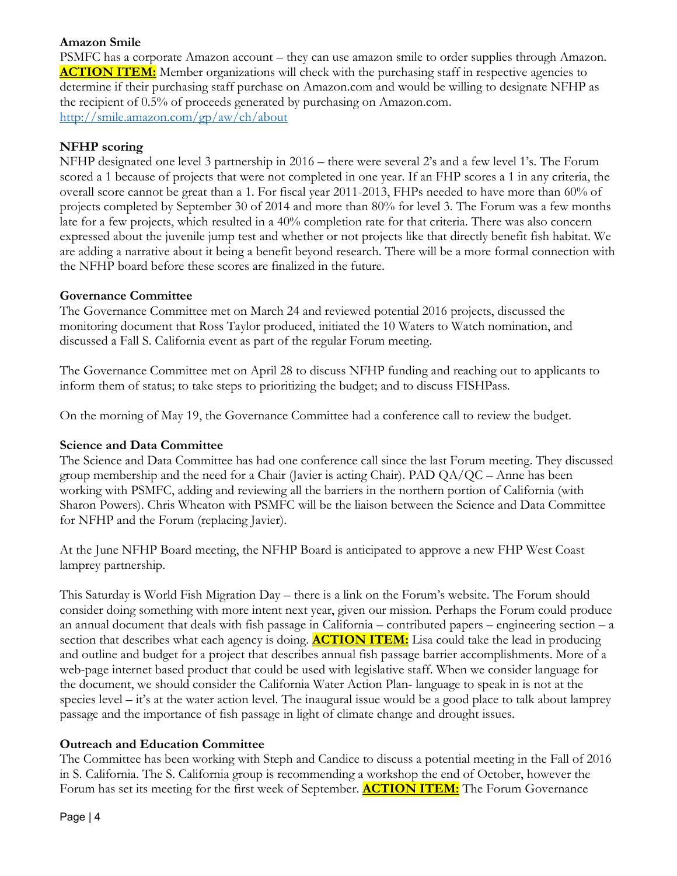#### **Amazon Smile**

PSMFC has a corporate Amazon account – they can use amazon smile to order supplies through Amazon. **ACTION ITEM:** Member organizations will check with the purchasing staff in respective agencies to determine if their purchasing staff purchase on Amazon.com and would be willing to designate NFHP as the recipient of 0.5% of proceeds generated by purchasing on Amazon.com. <http://smile.amazon.com/gp/aw/ch/about>

#### **NFHP scoring**

NFHP designated one level 3 partnership in 2016 – there were several 2's and a few level 1's. The Forum scored a 1 because of projects that were not completed in one year. If an FHP scores a 1 in any criteria, the overall score cannot be great than a 1. For fiscal year 2011-2013, FHPs needed to have more than 60% of projects completed by September 30 of 2014 and more than 80% for level 3. The Forum was a few months late for a few projects, which resulted in a 40% completion rate for that criteria. There was also concern expressed about the juvenile jump test and whether or not projects like that directly benefit fish habitat. We are adding a narrative about it being a benefit beyond research. There will be a more formal connection with the NFHP board before these scores are finalized in the future.

#### **Governance Committee**

The Governance Committee met on March 24 and reviewed potential 2016 projects, discussed the monitoring document that Ross Taylor produced, initiated the 10 Waters to Watch nomination, and discussed a Fall S. California event as part of the regular Forum meeting.

The Governance Committee met on April 28 to discuss NFHP funding and reaching out to applicants to inform them of status; to take steps to prioritizing the budget; and to discuss FISHPass.

On the morning of May 19, the Governance Committee had a conference call to review the budget.

## **Science and Data Committee**

The Science and Data Committee has had one conference call since the last Forum meeting. They discussed group membership and the need for a Chair (Javier is acting Chair). PAD  $QA/QC -$  Anne has been working with PSMFC, adding and reviewing all the barriers in the northern portion of California (with Sharon Powers). Chris Wheaton with PSMFC will be the liaison between the Science and Data Committee for NFHP and the Forum (replacing Javier).

At the June NFHP Board meeting, the NFHP Board is anticipated to approve a new FHP West Coast lamprey partnership.

This Saturday is World Fish Migration Day – there is a link on the Forum's website. The Forum should consider doing something with more intent next year, given our mission. Perhaps the Forum could produce an annual document that deals with fish passage in California – contributed papers – engineering section – a section that describes what each agency is doing. **ACTION ITEM:** Lisa could take the lead in producing and outline and budget for a project that describes annual fish passage barrier accomplishments. More of a web-page internet based product that could be used with legislative staff. When we consider language for the document, we should consider the California Water Action Plan- language to speak in is not at the species level – it's at the water action level. The inaugural issue would be a good place to talk about lamprey passage and the importance of fish passage in light of climate change and drought issues.

# **Outreach and Education Committee**

The Committee has been working with Steph and Candice to discuss a potential meeting in the Fall of 2016 in S. California. The S. California group is recommending a workshop the end of October, however the Forum has set its meeting for the first week of September. **ACTION ITEM:** The Forum Governance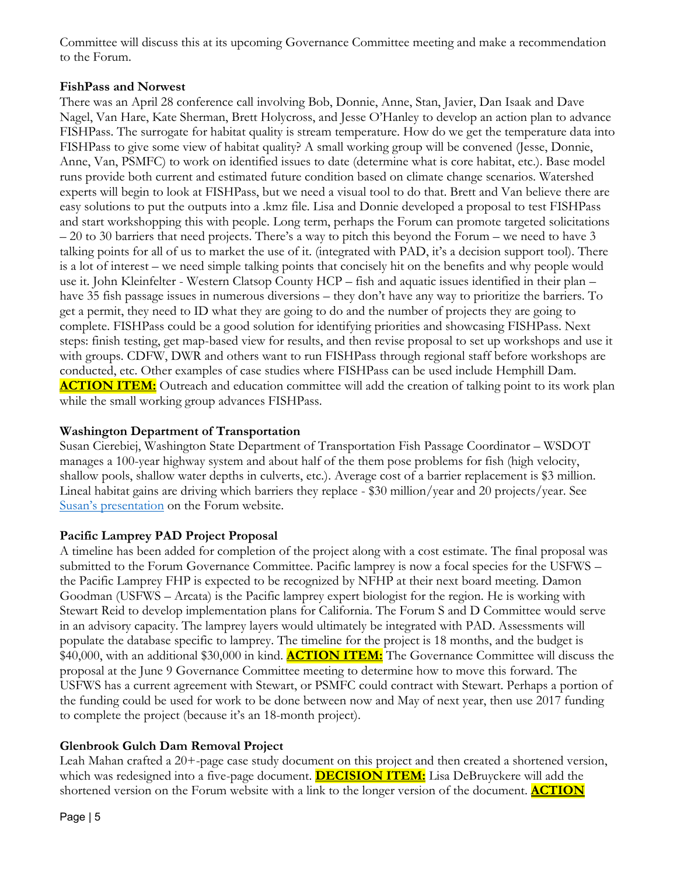Committee will discuss this at its upcoming Governance Committee meeting and make a recommendation to the Forum.

#### **FishPass and Norwest**

There was an April 28 conference call involving Bob, Donnie, Anne, Stan, Javier, Dan Isaak and Dave Nagel, Van Hare, Kate Sherman, Brett Holycross, and Jesse O'Hanley to develop an action plan to advance FISHPass. The surrogate for habitat quality is stream temperature. How do we get the temperature data into FISHPass to give some view of habitat quality? A small working group will be convened (Jesse, Donnie, Anne, Van, PSMFC) to work on identified issues to date (determine what is core habitat, etc.). Base model runs provide both current and estimated future condition based on climate change scenarios. Watershed experts will begin to look at FISHPass, but we need a visual tool to do that. Brett and Van believe there are easy solutions to put the outputs into a .kmz file. Lisa and Donnie developed a proposal to test FISHPass and start workshopping this with people. Long term, perhaps the Forum can promote targeted solicitations – 20 to 30 barriers that need projects. There's a way to pitch this beyond the Forum – we need to have 3 talking points for all of us to market the use of it. (integrated with PAD, it's a decision support tool). There is a lot of interest – we need simple talking points that concisely hit on the benefits and why people would use it. John Kleinfelter - Western Clatsop County HCP – fish and aquatic issues identified in their plan – have 35 fish passage issues in numerous diversions – they don't have any way to prioritize the barriers. To get a permit, they need to ID what they are going to do and the number of projects they are going to complete. FISHPass could be a good solution for identifying priorities and showcasing FISHPass. Next steps: finish testing, get map-based view for results, and then revise proposal to set up workshops and use it with groups. CDFW, DWR and others want to run FISHPass through regional staff before workshops are conducted, etc. Other examples of case studies where FISHPass can be used include Hemphill Dam. **ACTION ITEM:** Outreach and education committee will add the creation of talking point to its work plan while the small working group advances FISHPass.

#### **Washington Department of Transportation**

Susan Cierebiej, Washington State Department of Transportation Fish Passage Coordinator – WSDOT manages a 100-year highway system and about half of the them pose problems for fish (high velocity, shallow pools, shallow water depths in culverts, etc.). Average cost of a barrier replacement is \$3 million. Lineal habitat gains are driving which barriers they replace - \$30 million/year and 20 projects/year. See [Susan's presentation](http://www.cafishpassageforum.org/media/meetings/may2016/wsdot_fishpassageprogram_califorum2016reducedsize.pdf) on the Forum website.

#### **Pacific Lamprey PAD Project Proposal**

A timeline has been added for completion of the project along with a cost estimate. The final proposal was submitted to the Forum Governance Committee. Pacific lamprey is now a focal species for the USFWS – the Pacific Lamprey FHP is expected to be recognized by NFHP at their next board meeting. Damon Goodman (USFWS – Arcata) is the Pacific lamprey expert biologist for the region. He is working with Stewart Reid to develop implementation plans for California. The Forum S and D Committee would serve in an advisory capacity. The lamprey layers would ultimately be integrated with PAD. Assessments will populate the database specific to lamprey. The timeline for the project is 18 months, and the budget is \$40,000, with an additional \$30,000 in kind. **ACTION ITEM:** The Governance Committee will discuss the proposal at the June 9 Governance Committee meeting to determine how to move this forward. The USFWS has a current agreement with Stewart, or PSMFC could contract with Stewart. Perhaps a portion of the funding could be used for work to be done between now and May of next year, then use 2017 funding to complete the project (because it's an 18-month project).

# **Glenbrook Gulch Dam Removal Project**

Leah Mahan crafted a 20+-page case study document on this project and then created a shortened version, which was redesigned into a five-page document. **DECISION ITEM:** Lisa DeBruyckere will add the shortened version on the Forum website with a link to the longer version of the document. **ACTION**